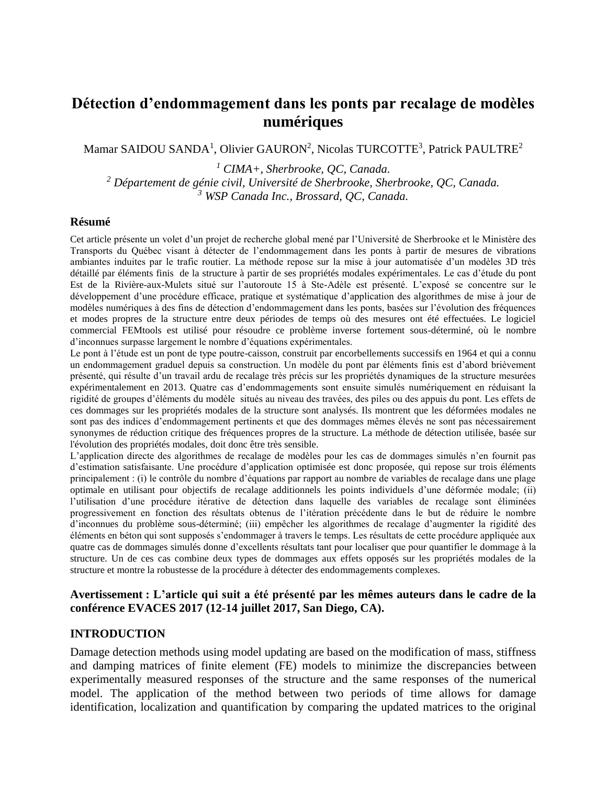# **Détection d'endommagement dans les ponts par recalage de modèles numériques**

Mamar SAIDOU SANDA<sup>1</sup>, Olivier GAURON<sup>2</sup>, Nicolas TURCOTTE<sup>3</sup>, Patrick PAULTRE<sup>2</sup>

*<sup>1</sup> CIMA+, Sherbrooke, QC, Canada.*

*<sup>2</sup> Département de génie civil, Université de Sherbrooke, Sherbrooke, QC, Canada. <sup>3</sup> WSP Canada Inc., Brossard, QC, Canada.*

#### **Résumé**

Cet article présente un volet d'un projet de recherche global mené par l'Université de Sherbrooke et le Ministère des Transports du Québec visant à détecter de l'endommagement dans les ponts à partir de mesures de vibrations ambiantes induites par le trafic routier. La méthode repose sur la mise à jour automatisée d'un modèles 3D très détaillé par éléments finis de la structure à partir de ses propriétés modales expérimentales. Le cas d'étude du pont Est de la Rivière-aux-Mulets situé sur l'autoroute 15 à Ste-Adèle est présenté. L'exposé se concentre sur le développement d'une procédure efficace, pratique et systématique d'application des algorithmes de mise à jour de modèles numériques à des fins de détection d'endommagement dans les ponts, basées sur l'évolution des fréquences et modes propres de la structure entre deux périodes de temps où des mesures ont été effectuées. Le logiciel commercial FEMtools est utilisé pour résoudre ce problème inverse fortement sous-déterminé, où le nombre d'inconnues surpasse largement le nombre d'équations expérimentales.

Le pont à l'étude est un pont de type poutre-caisson, construit par encorbellements successifs en 1964 et qui a connu un endommagement graduel depuis sa construction. Un modèle du pont par éléments finis est d'abord brièvement présenté, qui résulte d'un travail ardu de recalage très précis sur les propriétés dynamiques de la structure mesurées expérimentalement en 2013. Quatre cas d'endommagements sont ensuite simulés numériquement en réduisant la rigidité de groupes d'éléments du modèle situés au niveau des travées, des piles ou des appuis du pont. Les effets de ces dommages sur les propriétés modales de la structure sont analysés. Ils montrent que les déformées modales ne sont pas des indices d'endommagement pertinents et que des dommages mêmes élevés ne sont pas nécessairement synonymes de réduction critique des fréquences propres de la structure. La méthode de détection utilisée, basée sur l'évolution des propriétés modales, doit donc être très sensible.

L'application directe des algorithmes de recalage de modèles pour les cas de dommages simulés n'en fournit pas d'estimation satisfaisante. Une procédure d'application optimisée est donc proposée, qui repose sur trois éléments principalement : (i) le contrôle du nombre d'équations par rapport au nombre de variables de recalage dans une plage optimale en utilisant pour objectifs de recalage additionnels les points individuels d'une déformée modale; (ii) l'utilisation d'une procédure itérative de détection dans laquelle des variables de recalage sont éliminées progressivement en fonction des résultats obtenus de l'itération précédente dans le but de réduire le nombre d'inconnues du problème sous-déterminé; (iii) empêcher les algorithmes de recalage d'augmenter la rigidité des éléments en béton qui sont supposés s'endommager à travers le temps. Les résultats de cette procédure appliquée aux quatre cas de dommages simulés donne d'excellents résultats tant pour localiser que pour quantifier le dommage à la structure. Un de ces cas combine deux types de dommages aux effets opposés sur les propriétés modales de la structure et montre la robustesse de la procédure à détecter des endommagements complexes.

## **Avertissement : L'article qui suit a été présenté par les mêmes auteurs dans le cadre de la conférence EVACES 2017 (12-14 juillet 2017, San Diego, CA).**

#### **INTRODUCTION**

Damage detection methods using model updating are based on the modification of mass, stiffness and damping matrices of finite element (FE) models to minimize the discrepancies between experimentally measured responses of the structure and the same responses of the numerical model. The application of the method between two periods of time allows for damage identification, localization and quantification by comparing the updated matrices to the original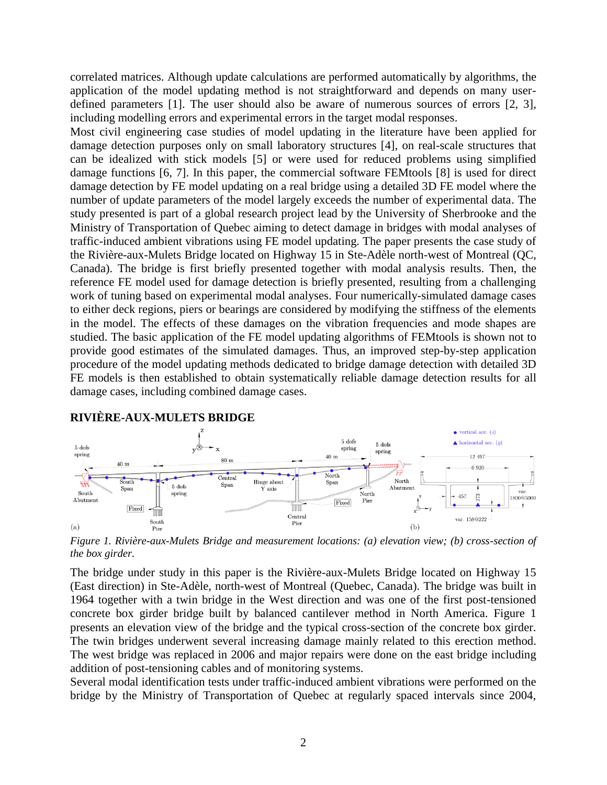correlated matrices. Although update calculations are performed automatically by algorithms, the application of the model updating method is not straightforward and depends on many userdefined parameters [1]. The user should also be aware of numerous sources of errors [2, 3], including modelling errors and experimental errors in the target modal responses.

Most civil engineering case studies of model updating in the literature have been applied for damage detection purposes only on small laboratory structures [4], on real-scale structures that can be idealized with stick models [5] or were used for reduced problems using simplified damage functions [6, 7]. In this paper, the commercial software FEMtools [8] is used for direct damage detection by FE model updating on a real bridge using a detailed 3D FE model where the number of update parameters of the model largely exceeds the number of experimental data. The study presented is part of a global research project lead by the University of Sherbrooke and the Ministry of Transportation of Quebec aiming to detect damage in bridges with modal analyses of traffic-induced ambient vibrations using FE model updating. The paper presents the case study of the Rivière-aux-Mulets Bridge located on Highway 15 in Ste-Adèle north-west of Montreal (QC, Canada). The bridge is first briefly presented together with modal analysis results. Then, the reference FE model used for damage detection is briefly presented, resulting from a challenging work of tuning based on experimental modal analyses. Four numerically-simulated damage cases to either deck regions, piers or bearings are considered by modifying the stiffness of the elements in the model. The effects of these damages on the vibration frequencies and mode shapes are studied. The basic application of the FE model updating algorithms of FEMtools is shown not to provide good estimates of the simulated damages. Thus, an improved step-by-step application procedure of the model updating methods dedicated to bridge damage detection with detailed 3D FE models is then established to obtain systematically reliable damage detection results for all damage cases, including combined damage cases.



## **RIVIÈRE-AUX-MULETS BRIDGE**

*Figure 1. Rivière-aux-Mulets Bridge and measurement locations: (a) elevation view; (b) cross-section of the box girder.*

The bridge under study in this paper is the Rivière-aux-Mulets Bridge located on Highway 15 (East direction) in Ste-Adèle, north-west of Montreal (Quebec, Canada). The bridge was built in 1964 together with a twin bridge in the West direction and was one of the first post-tensioned concrete box girder bridge built by balanced cantilever method in North America. Figure 1 presents an elevation view of the bridge and the typical cross-section of the concrete box girder. The twin bridges underwent several increasing damage mainly related to this erection method. The west bridge was replaced in 2006 and major repairs were done on the east bridge including addition of post-tensioning cables and of monitoring systems.

Several modal identification tests under traffic-induced ambient vibrations were performed on the bridge by the Ministry of Transportation of Quebec at regularly spaced intervals since 2004,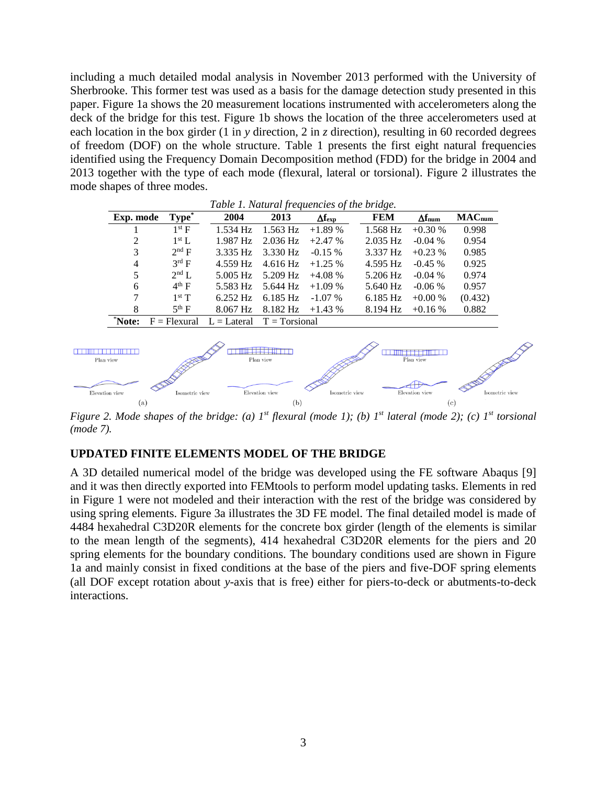including a much detailed modal analysis in November 2013 performed with the University of Sherbrooke. This former test was used as a basis for the damage detection study presented in this paper. Figure 1a shows the 20 measurement locations instrumented with accelerometers along the deck of the bridge for this test. Figure 1b shows the location of the three accelerometers used at each location in the box girder (1 in *y* direction, 2 in *z* direction), resulting in 60 recorded degrees of freedom (DOF) on the whole structure. Table 1 presents the first eight natural frequencies identified using the Frequency Domain Decomposition method (FDD) for the bridge in 2004 and 2013 together with the type of each mode (flexural, lateral or torsional). Figure 2 illustrates the mode shapes of three modes.

| Table 1. Natural frequencies of the bridge. |                   |                    |                    |                      |            |                  |             |  |  |  |  |  |
|---------------------------------------------|-------------------|--------------------|--------------------|----------------------|------------|------------------|-------------|--|--|--|--|--|
| Exp. mode                                   | Type <sup>*</sup> | 2004               | 2013               | $\Delta f_{\rm exp}$ | <b>FEM</b> | $\Delta f_{num}$ | $MAC_{num}$ |  |  |  |  |  |
|                                             | 1 <sup>st</sup> F | $1.534$ Hz         | $1.563$ Hz         | $+1.89%$             | 1.568 Hz   | $+0.30%$         | 0.998       |  |  |  |  |  |
| 2                                           | $1st$ L           | $1.987$ Hz         | $2.036$ Hz         | $+2.47%$             | $2.035$ Hz | $-0.04\%$        | 0.954       |  |  |  |  |  |
| 3                                           | $2^{\text{nd}}$ F | 3.335 Hz           | 3.330 Hz           | $-0.15\%$            | 3.337 Hz   | $+0.23\%$        | 0.985       |  |  |  |  |  |
| 4                                           | $3^{\text{rd}}$ F | 4.559 Hz           | $4.616 \text{ Hz}$ | $+1.25%$             | 4.595 Hz   | $-0.45\%$        | 0.925       |  |  |  |  |  |
| 5                                           | $2nd$ I.          | $5.005 \text{ Hz}$ | $5.209$ Hz         | $+4.08%$             | 5.206 Hz   | $-0.04\%$        | 0.974       |  |  |  |  |  |
| 6                                           | $4th$ F           | 5.583 Hz           | 5.644 Hz           | $+1.09%$             | 5.640 Hz   | $-0.06\%$        | 0.957       |  |  |  |  |  |
| 7                                           | $1st$ T           | $6.252$ Hz         | $6.185$ Hz         | $-1.07\%$            | $6.185$ Hz | $+0.00%$         | (0.432)     |  |  |  |  |  |
| 8                                           | $5th$ F           | 8.067 Hz           | 8.182 Hz           | $+1.43%$             | 8.194 Hz   | $+0.16%$         | 0.882       |  |  |  |  |  |
| *Note:                                      | $F = F$ lexural   | $L = Lateral$      | $T = Torsional$    |                      |            |                  |             |  |  |  |  |  |

\***Note:**  $F = F$  lexural  $L =$  Lateral  $T = T$  or sional



*Figure 2. Mode shapes of the bridge: (a) 1<sup><i>st*</sup> *flexural (mode 1); (b) 1<sup><i>st*</sup> *lateral (mode 2); (c) 1<sup><i>st*</sup> *torsional (mode 7).*

# **UPDATED FINITE ELEMENTS MODEL OF THE BRIDGE**

A 3D detailed numerical model of the bridge was developed using the FE software Abaqus [9] and it was then directly exported into FEMtools to perform model updating tasks. Elements in red in Figure 1 were not modeled and their interaction with the rest of the bridge was considered by using spring elements. Figure 3a illustrates the 3D FE model. The final detailed model is made of 4484 hexahedral C3D20R elements for the concrete box girder (length of the elements is similar to the mean length of the segments), 414 hexahedral C3D20R elements for the piers and 20 spring elements for the boundary conditions. The boundary conditions used are shown in Figure 1a and mainly consist in fixed conditions at the base of the piers and five-DOF spring elements (all DOF except rotation about *y-*axis that is free) either for piers-to-deck or abutments-to-deck interactions.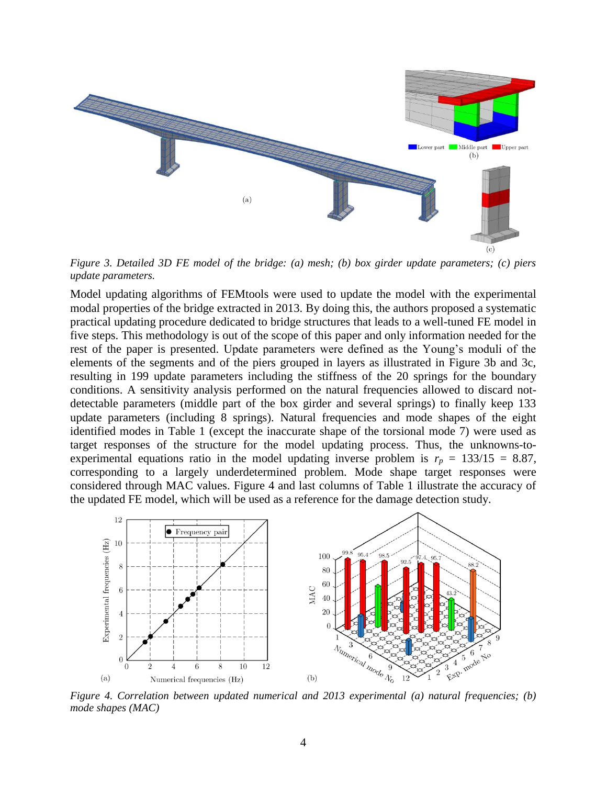

*Figure 3. Detailed 3D FE model of the bridge: (a) mesh; (b) box girder update parameters; (c) piers update parameters.*

Model updating algorithms of FEMtools were used to update the model with the experimental modal properties of the bridge extracted in 2013. By doing this, the authors proposed a systematic practical updating procedure dedicated to bridge structures that leads to a well-tuned FE model in five steps. This methodology is out of the scope of this paper and only information needed for the rest of the paper is presented. Update parameters were defined as the Young's moduli of the elements of the segments and of the piers grouped in layers as illustrated in Figure 3b and 3c, resulting in 199 update parameters including the stiffness of the 20 springs for the boundary conditions. A sensitivity analysis performed on the natural frequencies allowed to discard notdetectable parameters (middle part of the box girder and several springs) to finally keep 133 update parameters (including 8 springs). Natural frequencies and mode shapes of the eight identified modes in Table 1 (except the inaccurate shape of the torsional mode 7) were used as target responses of the structure for the model updating process. Thus, the unknowns-toexperimental equations ratio in the model updating inverse problem is  $r_p = 133/15 = 8.87$ , corresponding to a largely underdetermined problem. Mode shape target responses were considered through MAC values. Figure 4 and last columns of Table 1 illustrate the accuracy of the updated FE model, which will be used as a reference for the damage detection study.



*Figure 4. Correlation between updated numerical and 2013 experimental (a) natural frequencies; (b) mode shapes (MAC)*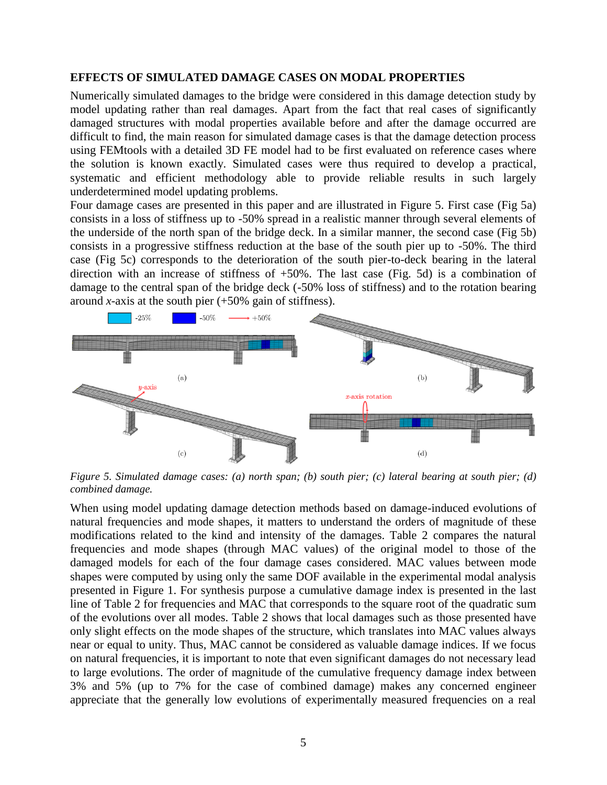## **EFFECTS OF SIMULATED DAMAGE CASES ON MODAL PROPERTIES**

Numerically simulated damages to the bridge were considered in this damage detection study by model updating rather than real damages. Apart from the fact that real cases of significantly damaged structures with modal properties available before and after the damage occurred are difficult to find, the main reason for simulated damage cases is that the damage detection process using FEMtools with a detailed 3D FE model had to be first evaluated on reference cases where the solution is known exactly. Simulated cases were thus required to develop a practical, systematic and efficient methodology able to provide reliable results in such largely underdetermined model updating problems.

Four damage cases are presented in this paper and are illustrated in Figure 5. First case (Fig 5a) consists in a loss of stiffness up to -50% spread in a realistic manner through several elements of the underside of the north span of the bridge deck. In a similar manner, the second case (Fig 5b) consists in a progressive stiffness reduction at the base of the south pier up to -50%. The third case (Fig 5c) corresponds to the deterioration of the south pier-to-deck bearing in the lateral direction with an increase of stiffness of +50%. The last case (Fig. 5d) is a combination of damage to the central span of the bridge deck (-50% loss of stiffness) and to the rotation bearing around *x*-axis at the south pier  $(+50\% \text{ gain of stiffness})$ .



*Figure 5. Simulated damage cases: (a) north span; (b) south pier; (c) lateral bearing at south pier; (d) combined damage.*

When using model updating damage detection methods based on damage-induced evolutions of natural frequencies and mode shapes, it matters to understand the orders of magnitude of these modifications related to the kind and intensity of the damages. Table 2 compares the natural frequencies and mode shapes (through MAC values) of the original model to those of the damaged models for each of the four damage cases considered. MAC values between mode shapes were computed by using only the same DOF available in the experimental modal analysis presented in Figure 1. For synthesis purpose a cumulative damage index is presented in the last line of Table 2 for frequencies and MAC that corresponds to the square root of the quadratic sum of the evolutions over all modes. Table 2 shows that local damages such as those presented have only slight effects on the mode shapes of the structure, which translates into MAC values always near or equal to unity. Thus, MAC cannot be considered as valuable damage indices. If we focus on natural frequencies, it is important to note that even significant damages do not necessary lead to large evolutions. The order of magnitude of the cumulative frequency damage index between 3% and 5% (up to 7% for the case of combined damage) makes any concerned engineer appreciate that the generally low evolutions of experimentally measured frequencies on a real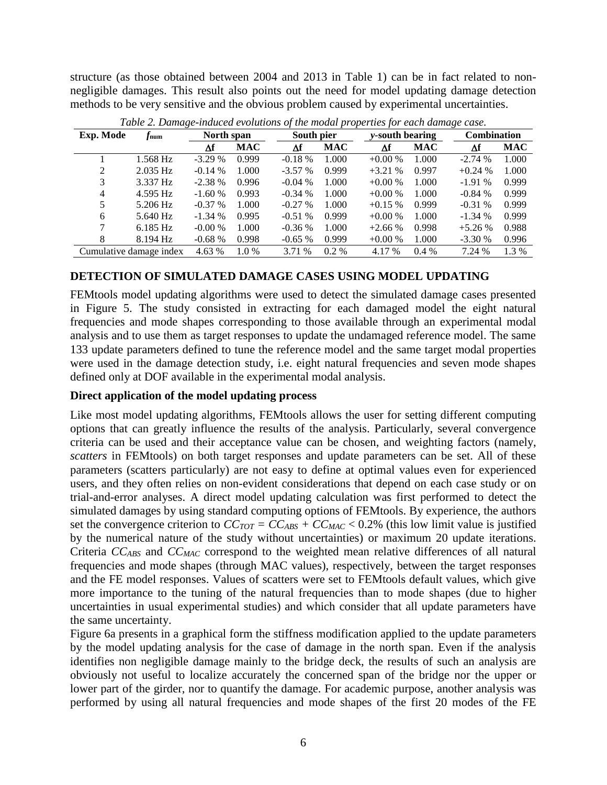structure (as those obtained between 2004 and 2013 in Table 1) can be in fact related to nonnegligible damages. This result also points out the need for model updating damage detection methods to be very sensitive and the obvious problem caused by experimental uncertainties.

| Exp. Mode               | $f_{\rm num}$ | North span |            | South pier |            | Table 2. Damage-mailed evolutions of the modal properties for each damage case.<br><i>v</i> -south bearing |            | <b>Combination</b> |            |
|-------------------------|---------------|------------|------------|------------|------------|------------------------------------------------------------------------------------------------------------|------------|--------------------|------------|
|                         |               | Δf         | <b>MAC</b> | Δf         | <b>MAC</b> | Δf                                                                                                         | <b>MAC</b> | Δf                 | <b>MAC</b> |
|                         | 1.568 Hz      | $-3.29%$   | 0.999      | $-0.18%$   | 1.000      | $+0.00%$                                                                                                   | 1.000      | $-2.74%$           | 1.000      |
| 2                       | $2.035$ Hz    | $-0.14\%$  | 1.000      | $-3.57\%$  | 0.999      | $+3.21%$                                                                                                   | 0.997      | $+0.24%$           | 1.000      |
| 3                       | 3.337 Hz      | $-2.38\%$  | 0.996      | $-0.04\%$  | 1.000      | $+0.00%$                                                                                                   | 1.000      | $-1.91\%$          | 0.999      |
| 4                       | 4.595 Hz      | $-1.60%$   | 0.993      | $-0.34\%$  | 1.000      | $+0.00%$                                                                                                   | 1.000      | $-0.84\%$          | 0.999      |
|                         | 5.206 Hz      | $-0.37\%$  | 1.000      | $-0.27\%$  | 1.000      | $+0.15%$                                                                                                   | 0.999      | $-0.31\%$          | 0.999      |
| 6                       | 5.640 Hz      | $-1.34\%$  | 0.995      | $-0.51%$   | 0.999      | $+0.00\%$                                                                                                  | 1.000      | $-1.34\%$          | 0.999      |
| 7                       | $6.185$ Hz    | $-0.00\%$  | 1.000      | $-0.36\%$  | 1.000      | $+2.66%$                                                                                                   | 0.998      | $+5.26%$           | 0.988      |
| 8                       | 8.194 Hz      | $-0.68\%$  | 0.998      | $-0.65\%$  | 0.999      | $+0.00\%$                                                                                                  | 1.000      | $-3.30\%$          | 0.996      |
| Cumulative damage index |               | $4.63\%$   | $1.0\%$    | 3.71 %     | $0.2\%$    | 4.17 %                                                                                                     | $0.4\%$    | 7.24 %             | 1.3 %      |

*Table 2. Damage-induced evolutions of the modal properties for each damage case.*

# **DETECTION OF SIMULATED DAMAGE CASES USING MODEL UPDATING**

FEMtools model updating algorithms were used to detect the simulated damage cases presented in Figure 5. The study consisted in extracting for each damaged model the eight natural frequencies and mode shapes corresponding to those available through an experimental modal analysis and to use them as target responses to update the undamaged reference model. The same 133 update parameters defined to tune the reference model and the same target modal properties were used in the damage detection study, i.e. eight natural frequencies and seven mode shapes defined only at DOF available in the experimental modal analysis.

## **Direct application of the model updating process**

Like most model updating algorithms, FEMtools allows the user for setting different computing options that can greatly influence the results of the analysis. Particularly, several convergence criteria can be used and their acceptance value can be chosen, and weighting factors (namely, *scatters* in FEMtools) on both target responses and update parameters can be set. All of these parameters (scatters particularly) are not easy to define at optimal values even for experienced users, and they often relies on non-evident considerations that depend on each case study or on trial-and-error analyses. A direct model updating calculation was first performed to detect the simulated damages by using standard computing options of FEMtools. By experience, the authors set the convergence criterion to  $CC_{TOT} = CC_{ABS} + CC_{MAC} < 0.2\%$  (this low limit value is justified by the numerical nature of the study without uncertainties) or maximum 20 update iterations. Criteria *CCABS* and *CCMAC* correspond to the weighted mean relative differences of all natural frequencies and mode shapes (through MAC values), respectively, between the target responses and the FE model responses. Values of scatters were set to FEMtools default values, which give more importance to the tuning of the natural frequencies than to mode shapes (due to higher uncertainties in usual experimental studies) and which consider that all update parameters have the same uncertainty.

Figure 6a presents in a graphical form the stiffness modification applied to the update parameters by the model updating analysis for the case of damage in the north span. Even if the analysis identifies non negligible damage mainly to the bridge deck, the results of such an analysis are obviously not useful to localize accurately the concerned span of the bridge nor the upper or lower part of the girder, nor to quantify the damage. For academic purpose, another analysis was performed by using all natural frequencies and mode shapes of the first 20 modes of the FE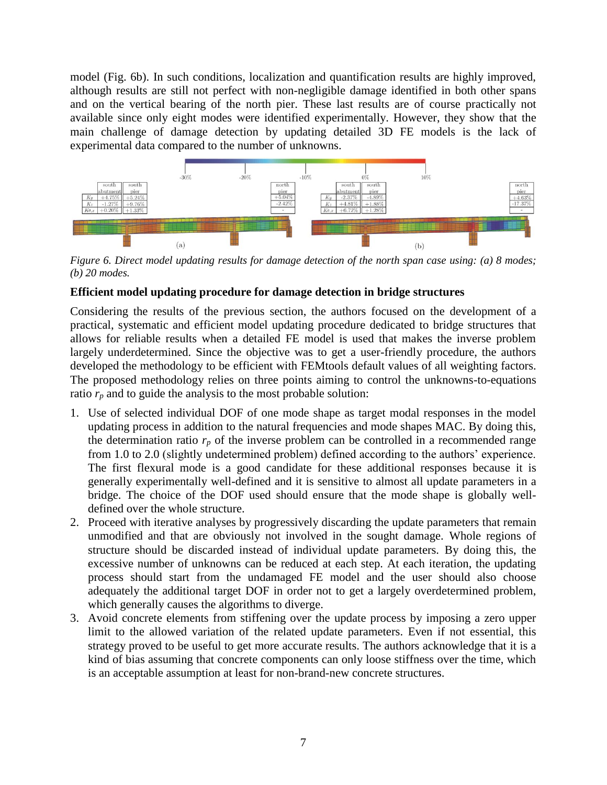model (Fig. 6b). In such conditions, localization and quantification results are highly improved, although results are still not perfect with non-negligible damage identified in both other spans and on the vertical bearing of the north pier. These last results are of course practically not available since only eight modes were identified experimentally. However, they show that the main challenge of damage detection by updating detailed 3D FE models is the lack of experimental data compared to the number of unknowns.



*Figure 6. Direct model updating results for damage detection of the north span case using: (a) 8 modes; (b) 20 modes.*

## **Efficient model updating procedure for damage detection in bridge structures**

Considering the results of the previous section, the authors focused on the development of a practical, systematic and efficient model updating procedure dedicated to bridge structures that allows for reliable results when a detailed FE model is used that makes the inverse problem largely underdetermined. Since the objective was to get a user-friendly procedure, the authors developed the methodology to be efficient with FEMtools default values of all weighting factors. The proposed methodology relies on three points aiming to control the unknowns-to-equations ratio  $r_p$  and to guide the analysis to the most probable solution:

- 1. Use of selected individual DOF of one mode shape as target modal responses in the model updating process in addition to the natural frequencies and mode shapes MAC. By doing this, the determination ratio  $r_p$  of the inverse problem can be controlled in a recommended range from 1.0 to 2.0 (slightly undetermined problem) defined according to the authors' experience. The first flexural mode is a good candidate for these additional responses because it is generally experimentally well-defined and it is sensitive to almost all update parameters in a bridge. The choice of the DOF used should ensure that the mode shape is globally welldefined over the whole structure.
- 2. Proceed with iterative analyses by progressively discarding the update parameters that remain unmodified and that are obviously not involved in the sought damage. Whole regions of structure should be discarded instead of individual update parameters. By doing this, the excessive number of unknowns can be reduced at each step. At each iteration, the updating process should start from the undamaged FE model and the user should also choose adequately the additional target DOF in order not to get a largely overdetermined problem, which generally causes the algorithms to diverge.
- 3. Avoid concrete elements from stiffening over the update process by imposing a zero upper limit to the allowed variation of the related update parameters. Even if not essential, this strategy proved to be useful to get more accurate results. The authors acknowledge that it is a kind of bias assuming that concrete components can only loose stiffness over the time, which is an acceptable assumption at least for non-brand-new concrete structures.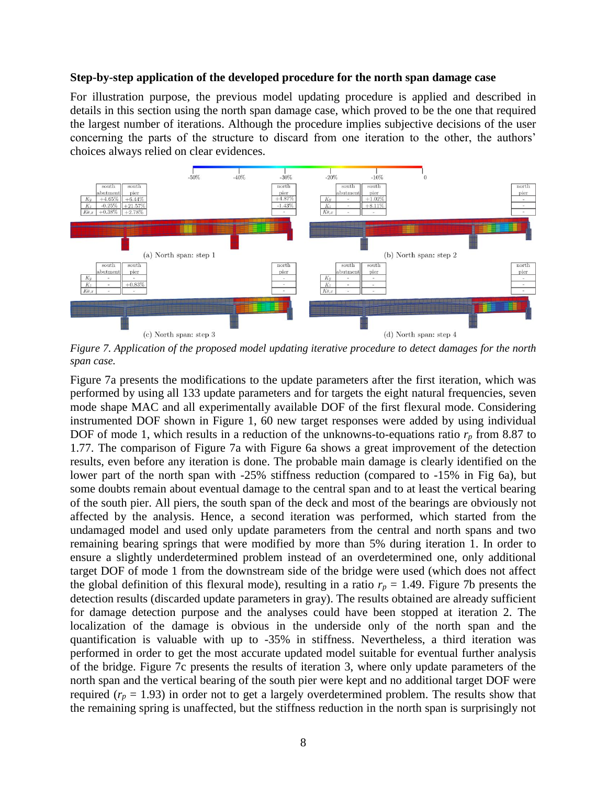#### **Step-by-step application of the developed procedure for the north span damage case**

For illustration purpose, the previous model updating procedure is applied and described in details in this section using the north span damage case, which proved to be the one that required the largest number of iterations. Although the procedure implies subjective decisions of the user concerning the parts of the structure to discard from one iteration to the other, the authors' choices always relied on clear evidences.



*Figure 7. Application of the proposed model updating iterative procedure to detect damages for the north span case.*

Figure 7a presents the modifications to the update parameters after the first iteration, which was performed by using all 133 update parameters and for targets the eight natural frequencies, seven mode shape MAC and all experimentally available DOF of the first flexural mode. Considering instrumented DOF shown in Figure 1, 60 new target responses were added by using individual DOF of mode 1, which results in a reduction of the unknowns-to-equations ratio  $r_p$  from 8.87 to 1.77. The comparison of Figure 7a with Figure 6a shows a great improvement of the detection results, even before any iteration is done. The probable main damage is clearly identified on the lower part of the north span with -25% stiffness reduction (compared to -15% in Fig 6a), but some doubts remain about eventual damage to the central span and to at least the vertical bearing of the south pier. All piers, the south span of the deck and most of the bearings are obviously not affected by the analysis. Hence, a second iteration was performed, which started from the undamaged model and used only update parameters from the central and north spans and two remaining bearing springs that were modified by more than 5% during iteration 1. In order to ensure a slightly underdetermined problem instead of an overdetermined one, only additional target DOF of mode 1 from the downstream side of the bridge were used (which does not affect the global definition of this flexural mode), resulting in a ratio  $r_p = 1.49$ . Figure 7b presents the detection results (discarded update parameters in gray). The results obtained are already sufficient for damage detection purpose and the analyses could have been stopped at iteration 2. The localization of the damage is obvious in the underside only of the north span and the quantification is valuable with up to -35% in stiffness. Nevertheless, a third iteration was performed in order to get the most accurate updated model suitable for eventual further analysis of the bridge. Figure 7c presents the results of iteration 3, where only update parameters of the north span and the vertical bearing of the south pier were kept and no additional target DOF were required ( $r_p = 1.93$ ) in order not to get a largely overdetermined problem. The results show that the remaining spring is unaffected, but the stiffness reduction in the north span is surprisingly not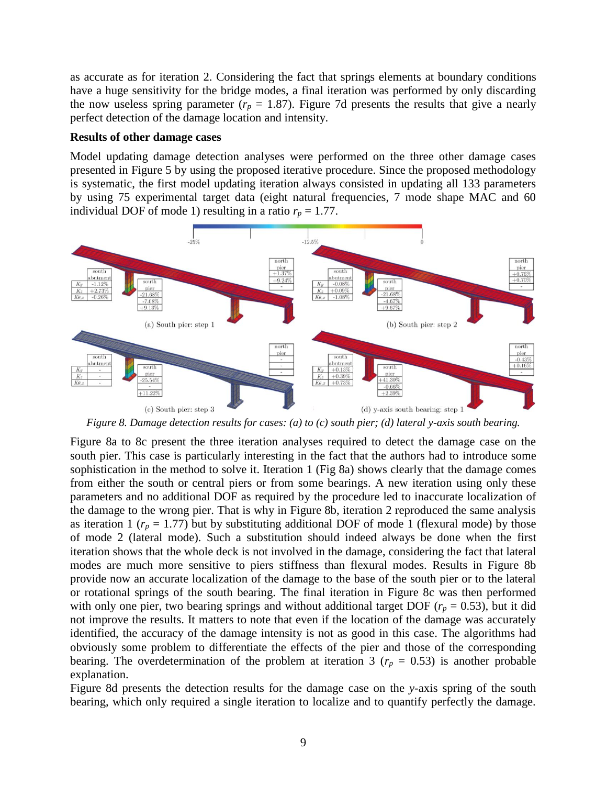as accurate as for iteration 2. Considering the fact that springs elements at boundary conditions have a huge sensitivity for the bridge modes, a final iteration was performed by only discarding the now useless spring parameter ( $r_p = 1.87$ ). Figure 7d presents the results that give a nearly perfect detection of the damage location and intensity.

#### **Results of other damage cases**

Model updating damage detection analyses were performed on the three other damage cases presented in Figure 5 by using the proposed iterative procedure. Since the proposed methodology is systematic, the first model updating iteration always consisted in updating all 133 parameters by using 75 experimental target data (eight natural frequencies, 7 mode shape MAC and 60 individual DOF of mode 1) resulting in a ratio  $r_p = 1.77$ .



*Figure 8. Damage detection results for cases: (a) to (c) south pier; (d) lateral y-axis south bearing.*

Figure 8a to 8c present the three iteration analyses required to detect the damage case on the south pier. This case is particularly interesting in the fact that the authors had to introduce some sophistication in the method to solve it. Iteration 1 (Fig 8a) shows clearly that the damage comes from either the south or central piers or from some bearings. A new iteration using only these parameters and no additional DOF as required by the procedure led to inaccurate localization of the damage to the wrong pier. That is why in Figure 8b, iteration 2 reproduced the same analysis as iteration 1 ( $r_p$  = 1.77) but by substituting additional DOF of mode 1 (flexural mode) by those of mode 2 (lateral mode). Such a substitution should indeed always be done when the first iteration shows that the whole deck is not involved in the damage, considering the fact that lateral modes are much more sensitive to piers stiffness than flexural modes. Results in Figure 8b provide now an accurate localization of the damage to the base of the south pier or to the lateral or rotational springs of the south bearing. The final iteration in Figure 8c was then performed with only one pier, two bearing springs and without additional target DOF ( $r_p$  = 0.53), but it did not improve the results. It matters to note that even if the location of the damage was accurately identified, the accuracy of the damage intensity is not as good in this case. The algorithms had obviously some problem to differentiate the effects of the pier and those of the corresponding bearing. The overdetermination of the problem at iteration 3 ( $r_p$  = 0.53) is another probable explanation.

Figure 8d presents the detection results for the damage case on the *y*-axis spring of the south bearing, which only required a single iteration to localize and to quantify perfectly the damage.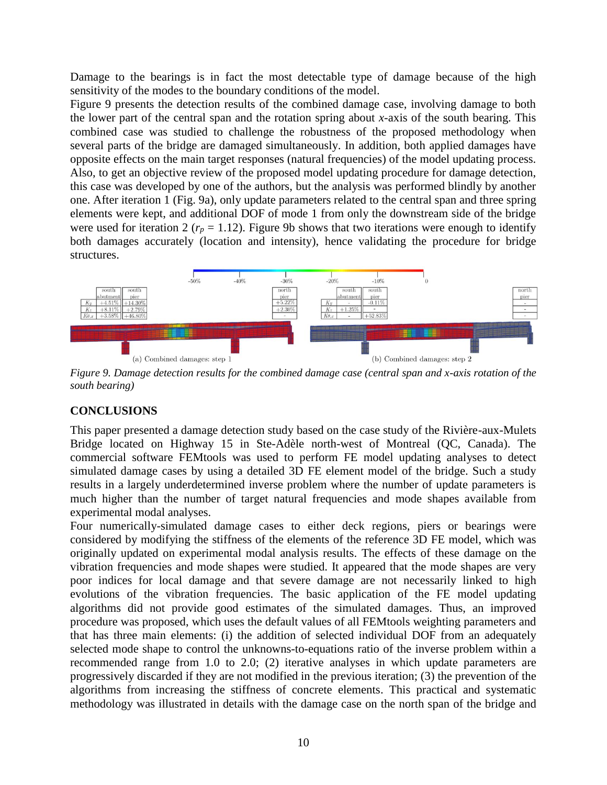Damage to the bearings is in fact the most detectable type of damage because of the high sensitivity of the modes to the boundary conditions of the model.

Figure 9 presents the detection results of the combined damage case, involving damage to both the lower part of the central span and the rotation spring about *x*-axis of the south bearing. This combined case was studied to challenge the robustness of the proposed methodology when several parts of the bridge are damaged simultaneously. In addition, both applied damages have opposite effects on the main target responses (natural frequencies) of the model updating process. Also, to get an objective review of the proposed model updating procedure for damage detection, this case was developed by one of the authors, but the analysis was performed blindly by another one. After iteration 1 (Fig. 9a), only update parameters related to the central span and three spring elements were kept, and additional DOF of mode 1 from only the downstream side of the bridge were used for iteration 2 ( $r_p = 1.12$ ). Figure 9b shows that two iterations were enough to identify both damages accurately (location and intensity), hence validating the procedure for bridge structures.



*Figure 9. Damage detection results for the combined damage case (central span and x-axis rotation of the south bearing)*

# **CONCLUSIONS**

This paper presented a damage detection study based on the case study of the Rivière-aux-Mulets Bridge located on Highway 15 in Ste-Adèle north-west of Montreal (QC, Canada). The commercial software FEMtools was used to perform FE model updating analyses to detect simulated damage cases by using a detailed 3D FE element model of the bridge. Such a study results in a largely underdetermined inverse problem where the number of update parameters is much higher than the number of target natural frequencies and mode shapes available from experimental modal analyses.

Four numerically-simulated damage cases to either deck regions, piers or bearings were considered by modifying the stiffness of the elements of the reference 3D FE model, which was originally updated on experimental modal analysis results. The effects of these damage on the vibration frequencies and mode shapes were studied. It appeared that the mode shapes are very poor indices for local damage and that severe damage are not necessarily linked to high evolutions of the vibration frequencies. The basic application of the FE model updating algorithms did not provide good estimates of the simulated damages. Thus, an improved procedure was proposed, which uses the default values of all FEMtools weighting parameters and that has three main elements: (i) the addition of selected individual DOF from an adequately selected mode shape to control the unknowns-to-equations ratio of the inverse problem within a recommended range from 1.0 to 2.0; (2) iterative analyses in which update parameters are progressively discarded if they are not modified in the previous iteration; (3) the prevention of the algorithms from increasing the stiffness of concrete elements. This practical and systematic methodology was illustrated in details with the damage case on the north span of the bridge and